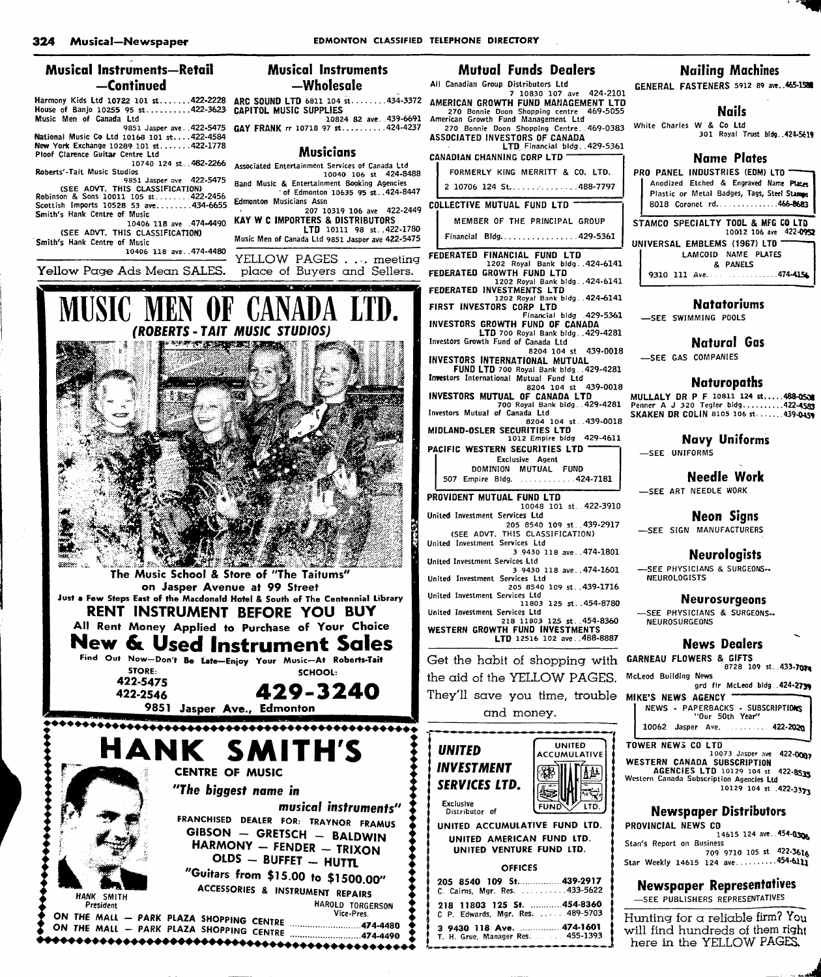# Musical instruments—Retail —Continued

House of Banjo 10255 95 st..........422-3623 CAPITOL MUSIC SUPPLIES Music Men of Canada Ltd National Music Co Ltd 10168 101 st....422-4584

New York Exchange 10289 101 st.......422-1778<br>Ploof Clarence Guitar Centre Ltd 10740 124 St. .462-2266

Roberts'-Tait Music Studios 9851 Jasper ave 422-5475

(SEE AOVT. THIS CLASSIFICATION)<br>Robinson & Sons 10011 105 st........422-2456<br>Scottish Imports 10528 53 ave........434-6655 Smith's Hank Centre of Music

10406 118 ave .474-4490 (SEE ADVT. THIS CLASSIFICATION) Smith's Hank Centre of Music

10406 118 ave . .474-4480

Yellow Page Ads Mean SALES.

Musical Instruments —Wholesale

Harmony Kids Ltd 10722 101 st.......422-2228 ARC SOUND LTD 6811 104 st........434-3372 10824 82 ave. 439-6691

9851 Jasper ave..422-5475 **GAY FRANK** rr 10718 97 st..........424-4237

## Musicians

Associated Entertainment Services of Canada Ltd 10040 106 st 424-8488

Band Music & Entertainment Booking Agencies of Edmonton 10635 95 st..424-8447 Edmonton Musicians Assn

207 10319 106 ave 422-2449 KAY W C IMPORTERS & DISTRIBUTORS LTD 10111 98 st. 422-1780

Music Men of Canada Ltd 9851 Jasper ave 422-5475

YELLOW PAGES . . . meeting place of Buyers and Sellers.



"Guitars from \$15.00 to \$1500.00"<br>ACCESSORIES & INSTRUMENT REPAIRS

President<br>ON THE MALL - PARK PLAZA SHOPPING CENTRE<br>ON THE MALL - PARK PLAZA SHOPPING CENTRE (1999)

# Mutual Funds Dealers

All Canadian Group Distributors Ltd 7 10830 107 ave 424-2101 AMERICAN GROWTH FUND MANAGEMENT LTD 270 Bonnie Doon Shopping centre 469-5055 American Growth Fund Management Ltd 270 Bonnie Doon Shopping Centre. .469-0383

ASSOCIATED INVESTORS OF CANADA LTD, Financial bidg. .429-5361

CANADIAN CHANNING CORP LTD FORMERLY KING MERRITT & CO. LTD.

2 10706 124 St. . . . . . . . . . . . . 488-7797

# COLLECTIVE MUTUAL FUND LTD

MEMBER OF THE PRINCIPAL GROUP

Financial Bldg.................429-5361

- FEDERATED FINANCIAL FUND LTD 1202 Royal Bank bIdg. .424-6141
- FEDERATED GROWTH FUND LTD 1202 Royal Bank bIdg. .424-6141
- FEDERATED INVESTMENTS LTD
- 1202 Royal Bank bIdg. .424-6141 FIRST INVESTORS CORP LTD
- Financial bidg .429-5361 INVESTORS GROWTH FUND OF CANADA
- LTD 700 Royal Bank bidg. . 429-4281 Investors Growth Fund of Canada Ltd
- 8204 104 st 439-0018
- INVESTORS INTERNATIONAL MUTUAL FUND LTD 700 Royal Bank bIdg. .429-4281 Investors International Mutual Fund Ltd
- 8204 104 st 439-0018<br>INVESTORS MUTUAL OF CANADA LTD<br>700 Royal Bank bidg...429-4281
- Investors Mutual of Canada Ltd
- 8204 104 St. .439-0018
- MIDLAND-OSLER SECURITIES LTD 1012 Empire bidg 429-4611 PACIFIC WESTERN SECURITIES LTD
- Exclusive Agent DOMINION MUTUAL FUND
- 507 Empire Bldg. .............424-7181
- PROVIDENT MUTUAL FUND LTD 10048 101 St. .422-3910 United Investment Services Ltd
- 205 8540 109 St. . 439-2917 (SEE ADVT. THIS CLASSIFICATION)
- United Investment Services Ltd 3 9430 118 ave. .474-1801
- United Investment Services Ltd
- United Investment Services Ltd
- 
- 

218 11803 125 St. .454-8360 WESTERN GROWTH FUND INVESTMENTS

the aid of the YELLOW PAGES. They'll save you time, trouble cmd money.



| U AMEKILAN FUNU LIU.<br>ED VENTURE FUND LTD. |                                          |
|----------------------------------------------|------------------------------------------|
| <b>OFFICES</b>                               |                                          |
|                                              | 0 109 St. 439-2917<br>Mgr. Res. 433-5622 |
|                                              |                                          |

| C. Caims, Mgr. Res.  433-5622                                  |  |
|----------------------------------------------------------------|--|
| 218 11803 125 St. 454-8360<br>C P. Edwards, Mgr. Res. 489-5703 |  |
| 3 9430 118 Ave. 474-1601<br>T. H. Grue, Manager Res. 455-1393  |  |

# Nailing Machines

GENERAL FASTENERS 5912 89 aw..465-1581

#### Nails

White Charles W & Co Ltd 301 Royal Trust bIdg. .424-5619

### Name Plates

PRO PANEL INDUSTRIES (EDM) LTD Anodized Etched & Engraved Name Ptates Plastic or Metal Badges, Tags, Steel Stamps 8018 Coronet rd. . . . . . . . . . . . . 466-8683 STAMCO SPECIALTY TOOL & MFG CO LTD 10012 106 ave 422-0952 UNIVERSAL EMBLEMS (1967) LTD LAMCOID NAME PLATES & PANELS 9310 111 Ave.........................474-4156

#### Natatoriums

—SEE SWIMMING POOLS

# Natural Gas

—SEE GAS COMPANIES

#### Naturopaths

**MULLALY DR P F 10811 124 st.....488-0538**<br>Penner A J 320 Tegler bidg..........4**22-45<u>83</u>** SKAKEN DR COLIN 8105 106 st. . . . . . . 439-0459

#### Navy Uniforms

—SEE UNIFORMS

# Needle Work

—SEE ART NEEDLE WORK

### Neon Signs

—SEE SIGN MANUFACTURERS

## Neurologists

—SEE PHYSICIANS & SURGEONS-**NEUROLOGISTS** 

#### Neurosurgeons

—SEE PHYSICIANS & SURGEONS-NEUROSURGEONS

### News Dealers

8728 109 st. 433-7074

McLeod Building News grd fir McLeod bidg .424-2739

| <b>MIKE'S NEWS AGENCY —</b> |  |                 |                                   |
|-----------------------------|--|-----------------|-----------------------------------|
|                             |  |                 | NEWS - PAPERBACKS - SUBSCRIPTIONS |
|                             |  | "Our 50th Year" |                                   |
|                             |  |                 | 1 10062 Jasper Ave.  422-2020     |

TOWER NEWS CO LTD 10073 Jasper ave 422-0007 WESTERN CANADA SUBSCRIPTION AGENCIES LTD 10129 104 st 422-0S3» Western Canada Subscription Agencies Ltd 10129 104 st .422-3371

#### Newspaper Distributors

PROVINCIAL NEWS CO 14615 124 ave. . 454-0306 Stan's Report on Business 709 9710 105 st 422-3616 Star Weekly 14615 124 ave  $\ldots$  454-6111

# Newspaper Representatives

—SEE PUBLISHERS REPRESENTATIVES

Hunting for  $\alpha$  reliable firm? You will find hundreds of them right here in the YELLOW PAGES.

3 9430 118 ave. . 474-1601 205 8540 109 St. .439-1716 United Investment Services Ltd 11803 125 St. .454-8780 United Investment Services Ltd LTD 12516 102 ave. .488-8887 Get the habit of shopping with GARNEAU FLOWERS & GIFTS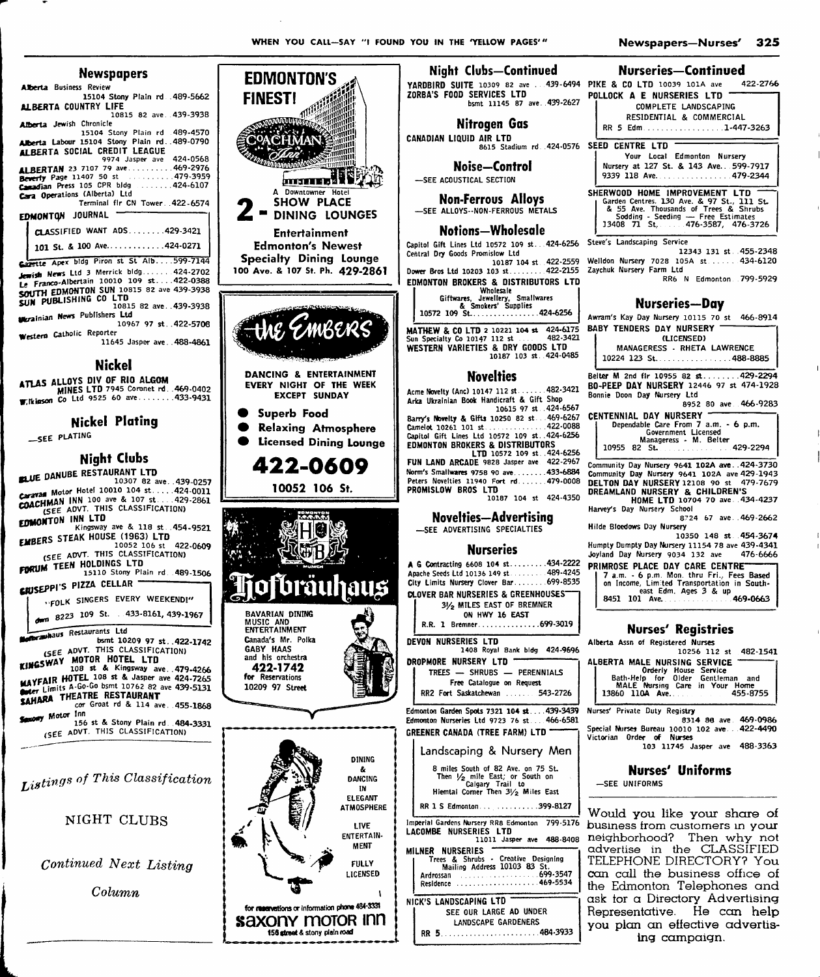# Marriam am ann

| newspupers                                      |
|-------------------------------------------------|
| <b>Alberta</b> Business Review                  |
| 15104 Stony Plain rd. 489-5662                  |
| <b>ALBERTA COUNTRY LIFE</b>                     |
| 10815 82 ave. 439-3938                          |
| <b>Alberta</b> Jewish Chronicle                 |
| 15104 Stony Plain rd .489-4570                  |
| Alberta Labour 15104 Stony Plain rd. . 489-0790 |
| ALBERTA SOCIAL CREDIT LEAGUE                    |
| 9974 Jasper ave 424-0568                        |
| ALBERTAN 23 7107 79 ave469-2976                 |
| Beverly Page 11407 50 st 479-3959               |
| Canadian Press 105 CPR bldg 424-6107            |
| Cara Operations (Alberta) Ltd                   |
| Terminal flr CN Tower. 422-6574                 |
| EDMONTON JOURNAL                                |
|                                                 |
| CLASSIFIED WANT ADS429-3421                     |
|                                                 |
| 101 St. & 100 Ave424-0271                       |
| Capette Apex bldg Piron st St Alb599-7144       |
|                                                 |
| Jewish News Ltd 3 Merrick bldg424-2702          |
| Le Franco-Albertain 10010 109 st422-0388        |
| SOUTH EDMONTON SUN 10815 82 ave 439-3938        |
| SUN PUBLISHING CO LTD                           |
| 10815 82 ave439-3938                            |
| <b>Merainian News Publishers Ltd</b>            |
| 10967 97 st422-5708                             |
| Western Catholic Reporter                       |
| 11645 Jasper ave488-4861                        |
|                                                 |
|                                                 |

**Nickel** 

ATLAS ALLOYS DIV OF RIO ALGOM<br>MINES LTD 7945 Coronet rd., 469-0402 Co Ltd 9525 60 ave.......433-9431 **W.** Ikiason

# **Nickel Plating**

-SEE PLATING

# **Night Clubs**

BLUE DANUBE RESTAURANT LTD 10307 82 ave. . 439-0257 222224 Motor Hotel 10010 104 st.....424-0011<br>2223724 Motor Hotel 10010 104 st.....429-2861 COACHMAN INN 100 ave & 107 st....424<br>COACHMAN INN 100 ave & 107 st....429<br>(SEE AOVT. THIS CLASSIFICATION)

EDMONTON INN LTD Kingsway ave & 118 st. 454-9521

EMBERS STEAK HOUSE (1963) LTD RS STEAR RUGSE (1903) LTD<br>10052 106 st 422<br>(SEE ADVT. THIS CLASSIFICATION) 422-0609

FURUM TEEN HOLDINGS LTD<br>FURUM TEEN HOLDINGS LTD<br>15110 Stony Plain rd. 489-1506

**GRUSEPPI'S PIZZA CELLAR** 

"FOLK SINGERS EVERY WEEKEND!"

dwn 8223 109 St. 433-8161, 439-1967

**Brashaus** Restaurants Ltd bsmt 10209 97 st. 422-1742<br>(SEE ADVT. THIS CLASSIFICATION)

KINGSWAY MOTOR HOTEL LTD MAYFAIR HOTEL 108 st & Jasper ave 424-7265 SAHARA THEATRE RESTAURANT

cor Groat rd & 114 ave. 455-1868 sony Motor Inn

Summun 156 st & Stony Plain rd. 484-3331<br>(SEE ADVT. THIS CLASSIFICATION)

Listings of This Classification

# NIGHT CLUBS

Continued Next Listing

Column



for reservations or information phone 484-3331

saxony motor inn

156 street & stony plain road

| U IN THE 'YELLOW PAGES'"                                                         | 325<br>Newspapers-Nurses'                                                                                                 |
|----------------------------------------------------------------------------------|---------------------------------------------------------------------------------------------------------------------------|
| <b>Night Clubs-Continued</b>                                                     | <b>Nurseries-Continued</b>                                                                                                |
| DBIRD SUITE 10309 82 ave  439-6494 PIKE & CO LTD 10039 101A ave                  | 422-2766                                                                                                                  |
| BA'S FOOD SERVICES LTD                                                           | POLLOCK A E NURSERIES LTD                                                                                                 |
| bsmt 11145 87 ave. 439-2627                                                      | COMPLETE LANDSCAPING                                                                                                      |
|                                                                                  | RESIDENTIAL & COMMERCIAL                                                                                                  |
| <b>Nitrogen Gas</b>                                                              | RR 5 Edm1-447-3263                                                                                                        |
| ADIAN LIQUID AIR LTD                                                             |                                                                                                                           |
| 8615 Stadium rd. 424-0576                                                        | SEED CENTRE LTD                                                                                                           |
|                                                                                  | Your Local Edmonton Nursery                                                                                               |
| Noise—Control                                                                    | Nursery at 127 St. & 143 Ave. 599-7917                                                                                    |
| -SEE ACOUSTICAL SECTION                                                          | 9339 118 Ave479-2344                                                                                                      |
|                                                                                  |                                                                                                                           |
| <b>Non-Ferrous Alloys</b>                                                        | SHERWOOD HOME IMPROVEMENT LTD                                                                                             |
| SEE ALLOYS -- NON-FERROUS METALS                                                 |                                                                                                                           |
|                                                                                  | Garden Centres. 130 Ave. & 97 St., 111 St.<br>& 55 Ave. Thousands of Trees & Shrubs<br>Sodding - Seeding — Free Estimates |
| <b>Notions—Wholesale</b>                                                         | 13408 71 St., 476-3587, 476-3726                                                                                          |
|                                                                                  | Steve's Landscaping Service                                                                                               |
| tol Gift Lines Ltd 10572 109 st424-6256                                          | 12343 131 st. 455-2348                                                                                                    |
| ral Dry Goods Promislow Ltd                                                      | Welldon Nursery 7028 105A st 434-6120                                                                                     |
| 10187 104 st 422-2559<br>r Bros Ltd 10203 103 st 422-2155                        | Zaychuk Nursery Farm Ltd                                                                                                  |
|                                                                                  | RR6 N Edmonton 799-5929                                                                                                   |
| <b>IONTON BROKERS &amp; DISTRIBUTORS LTD</b><br>Wholesale                        |                                                                                                                           |
| Giftwares, Jewellery, Smallwares                                                 |                                                                                                                           |
| & Smokers' Supplies                                                              | Nurseries—Day                                                                                                             |
| 10572 109 St424-6256                                                             | Awram's Kay Day Nursery 10115 70 st 466-8914                                                                              |
| <b>HEW &amp; CO LTD 2 10221 104 st 424-6175</b>                                  | <b>BABY TENDERS DAY NURSERY</b>                                                                                           |
| Specialty Co 10147 112 st<br>482-3421                                            | (LICENSED)                                                                                                                |
| <b>TERN VARIETIES &amp; DRY GOODS LTD</b>                                        | MANAGERESS - RHETA LAWRENCE                                                                                               |
| 10187 103 st. 424-0485                                                           | 10224 123 St. 488-8885                                                                                                    |
|                                                                                  |                                                                                                                           |
| <b>Novelties</b>                                                                 | Beiter M 2nd fir 10955 82 st429-2294                                                                                      |
|                                                                                  | BO-PEEP DAY NURSERY 12446 97 st 474-1928                                                                                  |
| e Novelty (Anc) 10147 112 st482-3421<br>Ukrainian Book Handicraft & Gift Shop    | Bonnie Doon Day Nursery Ltd                                                                                               |
| 10615 97 st 424-6567                                                             | 8952 80 ave 466-9283                                                                                                      |
| y's Novelty & Gifts 10250 82 st469-6267                                          | <b>CENTENNIAL DAY NURSERY</b>                                                                                             |
| elot 10261 101 st422-0088                                                        | Dependable Care From 7 a.m. - 6 p.m.                                                                                      |
| tol Gift Lines Ltd 10572 109 st. 424-6256                                        | Government Licensed<br>Manageress - M. Belter                                                                             |
| IONTON BROKERS & DISTRIBUTORS                                                    | 10955 82 St. 429-2294                                                                                                     |
| LTD 10572 109 st. 424-6256                                                       |                                                                                                                           |
| LAND ARCADE 9828 Jasper ave 422-2967                                             | Community Day Nursery 9641 102A ave. .424-3730                                                                            |
| s Smallwares 9758 90 ave 433-6884"                                               | Community Day Nursery 9641 102A ave 429-1943                                                                              |
| rs Novelties 11940 Fort rd479-0008                                               | DELTON DAY NURSERY 12108 90 st 479-7679                                                                                   |
| <b>MISLOW BROS LTD</b><br>10187 104 st 424-4350                                  | DREAMLAND NURSERY & CHILDREN'S                                                                                            |
|                                                                                  | HOME LTD 10704 70 ave 434-4237                                                                                            |
| Novelties-Advertising                                                            | Harvey's Day Nursery School<br>8724 67 ave469-2662                                                                        |
| -SEE ADVERTISING SPECIALTIES                                                     | Hilde Bloedows Day Nursery                                                                                                |
|                                                                                  | 10350 148 st 454-3674                                                                                                     |
| <b>Nurseries</b>                                                                 | Humpty Dumpty Day Nursery 11154 78 ave 439-4341                                                                           |
|                                                                                  | Joyland Day Nursery 9034 132 ave<br>476-6666                                                                              |
| Contracting 6608 104 st434-2222                                                  | PRIMROSE PLACE DAY CARE CENTRE                                                                                            |
| he Seeds Ltd 10136 149 st. 489-4245                                              | 7 a.m. - 6 p.m. Mon. thru Fri., Fees Based                                                                                |
| Limits Nursery Clover Bar 699-8535                                               | on Income, Limited Transportation in South-                                                                               |
| VER BAR NURSERIES & GREENHOUSES"                                                 | east Edm. Ages 3 & up<br>8451 101 Ave. 469-0663                                                                           |
| 31/2 MILES EAST OF BREMNER                                                       |                                                                                                                           |
| ON HWY 16 EAST                                                                   |                                                                                                                           |
| R.R. 1 Bremner699-3019                                                           | <b>Nurses' Registries</b>                                                                                                 |
|                                                                                  |                                                                                                                           |
| <b>ON NURSERIES LTD</b><br>1408 Royal Bank bidg 424-9696                         | Alberta Assn of Registered Nurses                                                                                         |
|                                                                                  | 10256 112 st 482-1541                                                                                                     |
| <b>PMORE NURSERY LTD</b>                                                         | ALBERTA MALE NURSING SERVICE                                                                                              |
| TREES - SHRUBS - PERENNIALS                                                      | Orderly House Service<br>Bath-Help for Older Gentleman and                                                                |
| Free Catalogue on Request                                                        | MALE Nursing Care in Your Home                                                                                            |
| RR2 Fort Saskatchewan  543-2726                                                  | 13860 110A Ave<br>455-8755                                                                                                |
|                                                                                  |                                                                                                                           |
| vnton Garden Spots 7321 104 st439-3439<br>mton Nurseries Ltd 9723 76 st 466-6581 | Nurses' Private Duty Registry<br>8314 88 ave 469-0986                                                                     |
|                                                                                  | Special Nurses Bureau 10010 102 ave. 422-4490                                                                             |
| ENER CANADA (TREE FARM) LTD                                                      | Victorian Order of Nurses                                                                                                 |
|                                                                                  | 103 11745 Jasper ave 488-3363                                                                                             |
| Landscaping & Nursery Men                                                        |                                                                                                                           |
| 8 miles South of 82 Ave. on 75 St.                                               | <b>Nurses' Uniforms</b>                                                                                                   |
| Then V <sub>2</sub> mile East; or South on<br>Calgary Trail to                   |                                                                                                                           |
|                                                                                  | -SEE UNIFORMS                                                                                                             |
| Hiemtal Corner Then 31/2 Miles East                                              |                                                                                                                           |
| RR 1 S Edmonton399-8127                                                          |                                                                                                                           |
|                                                                                  | Would you like your share of                                                                                              |
| rial Gardens Nursery RR8 Edmonton 799-5176                                       | business from customers in your                                                                                           |
| <b>OMBE NURSERIES LTD</b>                                                        | neighborhood? Then why not                                                                                                |
| 11011 Jasper ave 488-8408                                                        | CLASSIFIED<br>advertise<br>in the                                                                                         |
| <b>VER NURSERIES</b><br>Trees & Shrubs - Creative Designing                      |                                                                                                                           |
| Mailing Address 10103 83 St.                                                     | TELEPHONE DIRECTORY? You                                                                                                  |
|                                                                                  | can call the business office of                                                                                           |
| Residence 469-5534                                                               | the Edmonton Telephones and                                                                                               |

ask tor a Directory Advertising

Representative. He can help

you plan an effective advertis-

ing campaign.

NICK'S LANDSCAPING LTD SEE OUR LARGE AD UNDER LANDSCAPE GARDENERS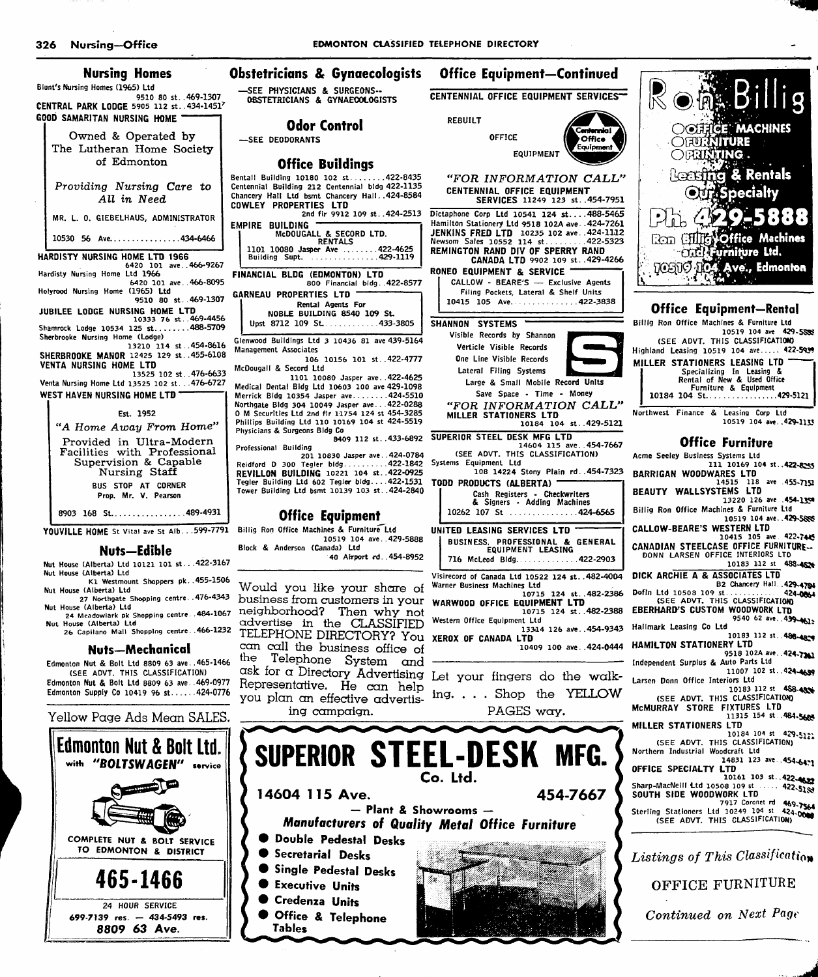| Nursing Homes                                                                                      | Dh                        |
|----------------------------------------------------------------------------------------------------|---------------------------|
| Blunt's Nursing Homes (1965) Ltd                                                                   |                           |
| 9510 80 st. 469-1307<br>CENTRAL PARK LODGE 5905 112 st. . 434-14517<br>GOOD SAMARITAN NURSING HOME |                           |
| Owned & Operated by<br>The Lutheran Home Society<br>of Edmonton                                    |                           |
| Providing Nursing Care to<br>All in Need                                                           | Ben<br>Cent<br>Cha<br>CD۱ |
| MR. L. O. GIEBELHAUS, ADMINISTRATOR                                                                | EMI                       |
| 10530 56 Ave434-6466                                                                               |                           |
| HARDISTY NURSING HOME LTD 1966                                                                     |                           |
| 6420 101 ave466-9267<br>Hardisty Nursing Home Ltd 1966                                             | FIN                       |
| 6420 101 ave466-8095<br>Holyrood Nursing Home (1965) Ltd                                           |                           |
| 9510 80 st. 469-1307                                                                               | GА                        |
| JUBILEE LODGE NURSING HOME LTD<br>10333 76 st469-4456                                              |                           |
| Shamrock Lodge 10534 125 st488-5709                                                                |                           |
| Sherbrooke Nursing Home (Lodge)<br>13210 114 st. 454-8616                                          | Gle                       |
| SHERBROOKE MANOR 12425 129 st. . 455-6108                                                          | Ma                        |
| <b>VENTA NURSING HOME LTD</b><br>13525 102 st476-6633                                              | Mc                        |
| Venta Nursing Home Ltd 13525 102 st. 476-6727                                                      | Me                        |
| WEST HAVEN NURSING HOME LTD                                                                        | Me                        |
| Est. 1952                                                                                          | No<br>Ω.                  |
| "A Home Away From Home"                                                                            | Ph<br>Ph                  |
| Provided in Ultra-Modern<br>Facilities with Professional<br>Supervision & Capable<br>Nursing Staff | Pn<br>Re<br>RI            |
| BUS STOP AT CORNER                                                                                 | Te                        |
| Prop. Mr. V. Pearson                                                                               | To                        |
| 8903 168 St489-4931                                                                                |                           |

### Nuts—Edible

Nut House (Alberta) Ltd 10121 101 st. . .422-3167 Nut House (Alberta) Ltd K1 Westmount Shoppers pk. .455-1506

- Nut House (Alberta) Ltd 27 Northgate Shopping centre .476-4343<br>Nut House (Alberta) Ltd
- 
- Nut House (Alberta) Ltd 24 Meadowlark pk Shopping centre. .484-1067 Not House (Alberta) Ltd 26 Capilano Mall Shopping centre. .466-1232

#### Nuts—Mechanical

Edmonton Nut & Boll Ltd 8809 63 ave. .465-1466 (SEE ADVT. THIS CLASSIFICATION) Edmonton Nut & Bolt Ltd 8809 63 ave. .469-0977 Edmonton Supply Co 10419 96 st.  $\ldots$  424-0776

#### Yellow Page Ads Mean SALES.



stetricians & Gynaecologists - Office Equipment—Continued —SEE PHYSICIANS & SURGEONS-OBSTETRICIANS & GYNAEOOLOGISTS CENTENNIAL OFFICE EQUIPMENT SERVICES— Odor Control REBUILT —SEE DEODORANTS OFFICE Office Buildings tall Building 10180 102 st ... 422-8435 Centennial Building 212 Centennial bidg 422-1135 ncery Hall Ltd bsmt Chancery Hall. .424-8584 COWLEY PROPERTIES LTD 2nd fir 9912 109 St. .424-2513 PIRE BUILDING McDOUGALL & SECORD LTD. RENTALS 1101 10080 Jasper Ave .........422-4625 Building Supt. . . . . . . . . . . . . . . 429-1119 FINANCIAL BLDG (EDMONTON) LTD 800 Financial bIdg. .422-8577 GARNEAU PROPERTIES LTD Rental Agents For NOBLE BUILDING 8540 109 St. Upst 8712 109  $St$ .............433-3805 Glenwood Buildings Ltd 3 10436 81 ave 439-5164 Management Associates 106 10156 101 St.. 422-4777 Dougall & Secord Ltd 1101 10080 Jasper ave. . 422-4625 Medical Dental BIdg Ltd 10603 100 ave 429-1098 Merrick BIdg 10354 Jasper ave 424-5510 Northgate BIdg 304 10049 Jasper ave.. . 422-0288 0 M Securities Ltd 2nd fir 11754 124 st 454-3285 Phillips Building Ltd 110 10169 104 st 424-5519 **Institute & Surgeons Bidg Co.** 8409 112 st. . 433-6892 SUPERIOR STEEL DESK MFG LTD Professional Building 201 10830 Jasper ave. Reidford D 300 Tegler bIdg REVILLON BUILDING 10221 104 st.. Tegler Building Ltd 602 Tegler bIdg.... 422-1531 Tower Building Ltd bsmt 10139 103 st. 424-2840 YOUVILLE HOME St Vital ave St Alb. . . 599-7791 Billig Ron Office Machines & Furniture Ltd 424-0784 422-1842 422-0925 Office Equipment 10519 104 ave. . 429-5888 Block & Anderson (Canada) Ltd 40 Airport rd. .454-8952 Would you like your share of business from crustomers in your neighborhood? Then why not advertise in the CLASSIFIED

TELEPHONE DIRECTORY? You XEROX OF CANADA LTD can call the business office of the Telephone System and ask for a Directory Advertising Let your fingers do the walk Representative. He con help you plan an effective advertising campaign.

EQUIPMENT Offlea "FOR INFORMATION CALL" CENTENNIAL OFFICE EQUIPMENT SERVICES 11249 123 st. .454-7951 Dictaphone Corp Ltd 10541 124 st... .488-5465 Hamilton Stationery Ltd 9518 102A ave. .424-7261 JENKINS FRED LTD 10235 102 ave. 424-1112<br>Newsom Sales 10552 114 st.........422-5323<br>REMINGTON RAND DIV OF SPERRY RAND CANADA LTD 9902 109 st. .429-4266 RONEO EQUIPMENT & SERVICE CALLOW - BEARE'S — Exclusive Agents Filing Pockets, Lateral & Shelf Units 10415 105 Ave. . . . . . . . . . . . . 422-3838 SHANNON SYSTEMS Visible Records by Shannon Verticle Visible Records One Line Visible Records Lateral Filing Systems Large & Small Mobile Record Units Save Space - Time - Money "FOR INFORMATION CALL' MILLER STATIONERS LTD 10184 104 St. .429-5121 14604 115 ave. . 454-7667 (SEE ADVT. THIS CLASSIFICATION) Systems Equipment Ltd 108 14224 Stony Plain rd..454-7323 TODD PRODUCTS (ALBERTA) Cash Registers - Checkwriters & Signers - Adding Machines 10262 107 St ..................424-6565 UNITED LEASING SERVICES LTD BUSINESS. PROFESSIONAL & GENERAL EQUIPMENT LEASING 716 McLeod Bidg. . . . . . . . . . . . . 422-2903 VIsirecord of Canada Ltd 10522 124 st. .482-4004 Warner Business Machines Ltd 10715 124 St..482-2386 WARWOOD OFFICE EQUIPMENT LTD 10715 124 St..482-2388 Western Office Equipment Ltd 13344 126 aVe. .454-9343 10409 100 ave. .424-0444 HAMILTON STATIONERY LTD

ing. . . . Shop the YELLOW PAGES way.





| Acme Seeley Business Systems Ltd                                                 |
|----------------------------------------------------------------------------------|
| 111 10169 104 st. 422-8245                                                       |
| <b>BARRIGAN WOODWARES LTD</b><br>14515 118 ave 455-7151                          |
| BEAUTY WALLSYSTEMS LTD                                                           |
| 13220 126 ave .454-1354                                                          |
| Billig Ron Office Machines & Furniture Ltd                                       |
| 10519 104 ave. . 429-5888                                                        |
| CALLOW-BEARE'S WESTERN LTD                                                       |
| 10415 105 ave 422-7445                                                           |
| CANADIAN STEELCASE OFFICE FURNITURE                                              |
| DONN LARSEN OFFICE INTERIORS LTD                                                 |
| 10183 112 st 488-4526                                                            |
| DICK ARCHIE A & ASSOCIATES LTD                                                   |
| B2 Chancery Hall. . 429-4784                                                     |
|                                                                                  |
| (SEE ADVT, THIS CLASSIFICATION)                                                  |
| <b>EBERHARD'S CUSTOM WOODWORK LTD</b>                                            |
| 9540 62 ave. . 439-4615<br>Hallmark Leasing Co Ltd                               |
| 10183 112 st. 488-4879                                                           |
| HAMILTON STATIONERY LTD                                                          |
| 9518 102A ave. 424-7241                                                          |
| Independent Surplus & Auto Parts Ltd                                             |
| 11007 102 st. . 424-4699                                                         |
| Larsen Donn Office Interiors Ltd                                                 |
| 10183 112 st 488-4906                                                            |
| (SEE ADVT. THIS CLASSIFICATION)                                                  |
| MCMURRAY STORE FIXTURES LTD                                                      |
| 11315 154 st 484-5688                                                            |
| MILLER STATIONERS LTD<br>10184 104 st 429-5122                                   |
| (SEE ADVT. THIS CLASSIFICATION)                                                  |
| Northern Industrial Woodcraft Ltd                                                |
| 14831 123 ave. . 454-64-1                                                        |
| OFFICE SPECIALTY LTD                                                             |
| 10161 103 st. 422-4622                                                           |
| Sharp-MacNeill Ltd 10508 109 st  422-51.                                         |
| SOUTH SIDE WOODWORK LTD                                                          |
| 7917 Coronet rd 469-7564                                                         |
| Sterling Stationers Ltd 10249 104 st 424.0000<br>(SEE ADVT. THIS CLASSIFICATION) |
|                                                                                  |

Listings of This Classification

OFFICE furniture

Continued on Next Page